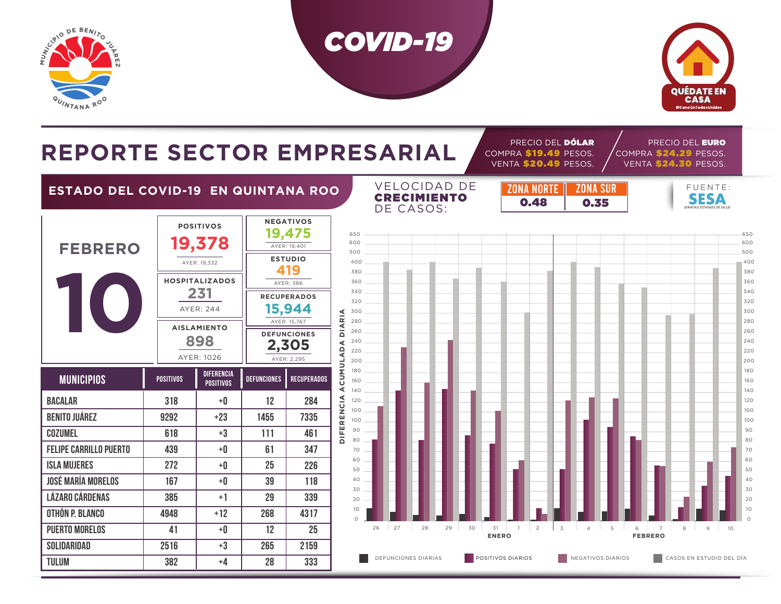

**TULUM 382**



COMPRA \$19.49 PESOS.

DEFUNCIONES DIARIAS **EN POSITIVOS DIARIOS NEGATIVOS DIARIOS** NEGATIVOS DIARIOS NEGATIVOS DIARIOS NEGATIVOS DE E



PRECIO DEL EURO COMPRA \$24.29 PESOS.

# REPORTE SECTOR EMPRESARIAL **COMPRA \$19.49 PESOS.**

**+4**

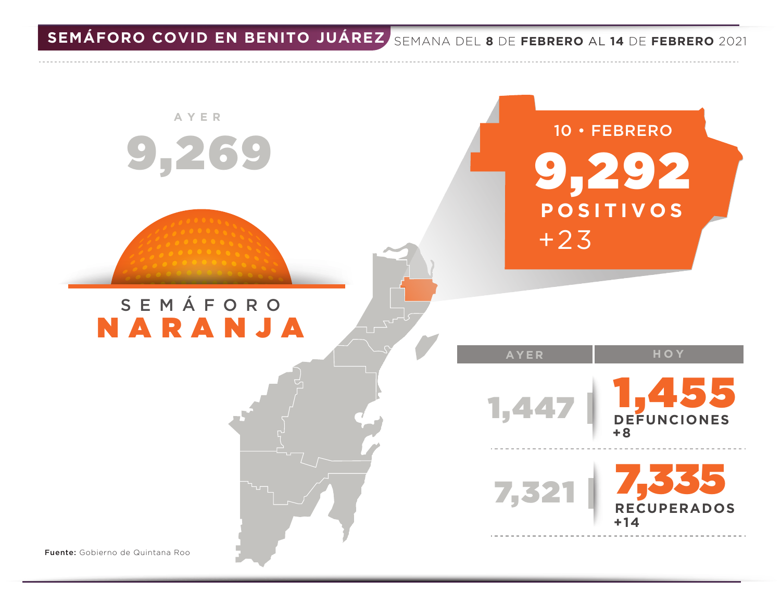**SEMÁFORO COVID EN BENITO JUÁREZ** SEMANA DEL **8** DE **FEBRERO** AL **14** DE **FEBRERO** 2021

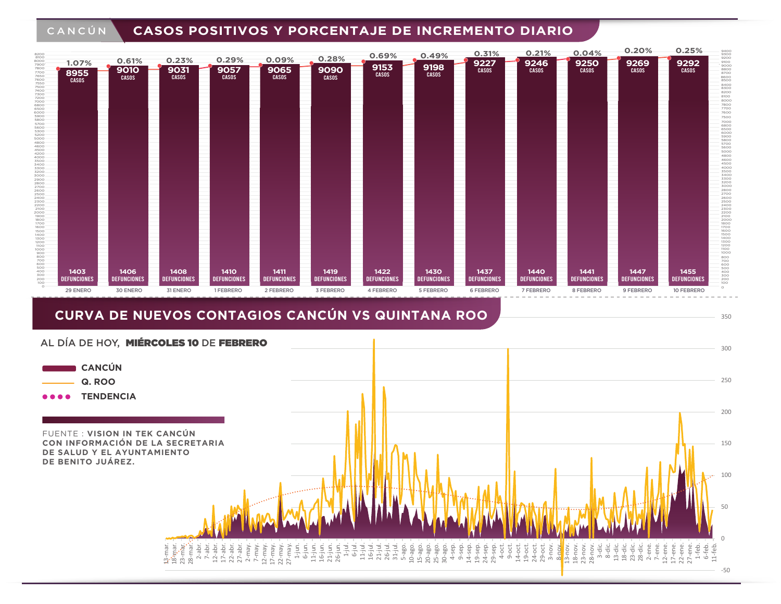#### CANCÚN **CASOS POSITIVOS Y PORCENTAJE DE INCREMENTO DIARIO**



### **CURVA DE NUEVOS CONTAGIOS CANCÚN VS QUINTANA ROO**



350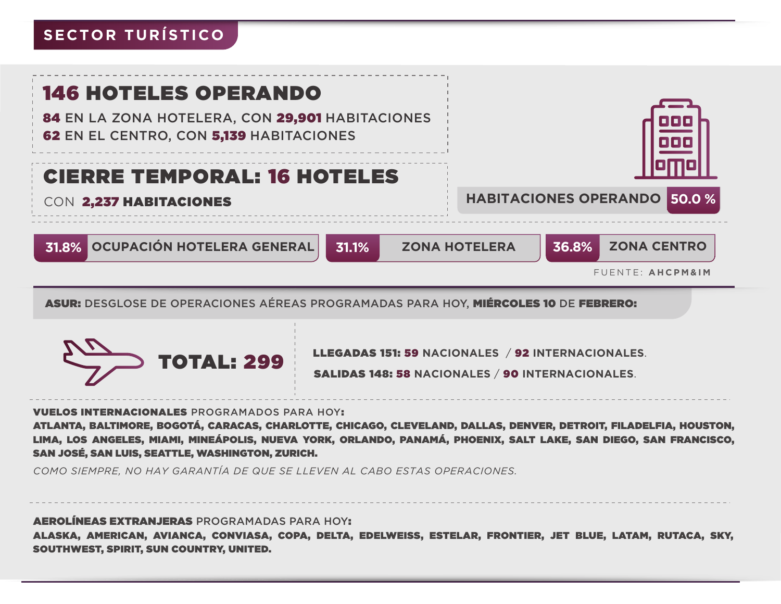# **SECTOR TURÍSTICO**

| <b>146 HOTELES OPERANDO</b><br>84 EN LA ZONA HOTELERA, CON 29,901 HABITACIONES<br><b>62 EN EL CENTRO, CON 5,139 HABITACIONES</b> |                                                     |
|----------------------------------------------------------------------------------------------------------------------------------|-----------------------------------------------------|
| <b>CIERRE TEMPORAL: 16 HOTELES</b>                                                                                               | <b>HABITACIONES OPERANDO 50.0 %</b>                 |
| CON 2,237 HABITACIONES                                                                                                           |                                                     |
| 31.8% OCUPACIÓN HOTELERA GENERAL<br>31.1%                                                                                        | 36.8%<br><b>ZONA CENTRO</b><br><b>ZONA HOTELERA</b> |
|                                                                                                                                  | FUENTE: AHCPM&IM                                    |

ASUR: DESGLOSE DE OPERACIONES AÉREAS PROGRAMADAS PARA HOY, MIÉRCOLES 10 DE FEBRERO:



LLEGADAS 151: 59 **NACIONALES** / 92 **INTERNACIONALES**.

#### VUELOS INTERNACIONALES PROGRAMADOS PARA HOY:

ATLANTA, BALTIMORE, BOGOTÁ, CARACAS, CHARLOTTE, CHICAGO, CLEVELAND, DALLAS, DENVER, DETROIT, FILADELFIA, HOUSTON, LIMA, LOS ANGELES, MIAMI, MINEÁPOLIS, NUEVA YORK, ORLANDO, PANAMÁ, PHOENIX, SALT LAKE, SAN DIEGO, SAN FRANCISCO, SAN JOSÉ, SAN LUIS, SEATTLE, WASHINGTON, ZURICH.

*COMO SIEMPRE, NO HAY GARANTÍA DE QUE SE LLEVEN AL CABO ESTAS OPERACIONES.*

AEROLÍNEAS EXTRANJERAS PROGRAMADAS PARA HOY:

ALASKA, AMERICAN, AVIANCA, CONVIASA, COPA, DELTA, EDELWEISS, ESTELAR, FRONTIER, JET BLUE, LATAM, RUTACA, SKY, SOUTHWEST, SPIRIT, SUN COUNTRY, UNITED.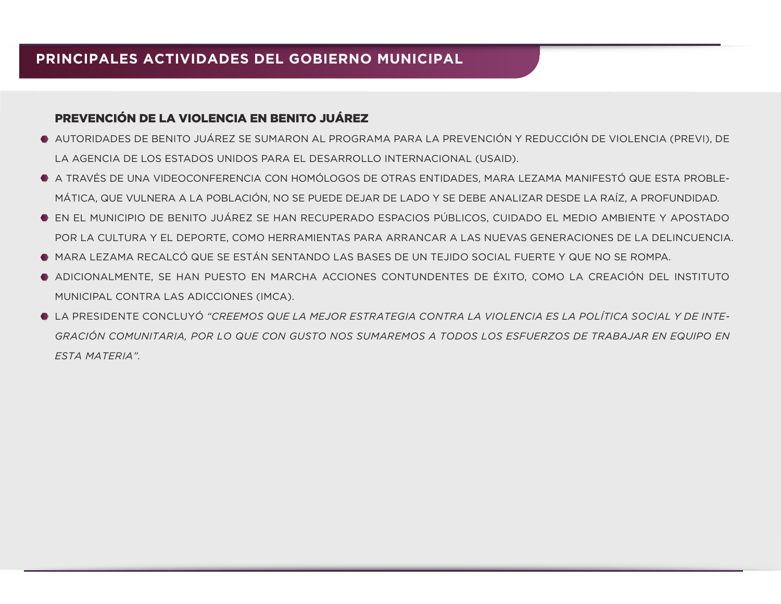#### PREVENCIÓN DE LA VIOLENCIA EN BENITO JUÁREZ

- AUTORIDADES DE BENITO JUÁREZ SE SUMARON AL PROGRAMA PARA LA PREVENCIÓN Y REDUCCIÓN DE VIOLENCIA (PREVI), DE LA AGENCIA DE LOS ESTADOS UNIDOS PARA EL DESARROLLO INTERNACIONAL (USAID).
- A TRAVÉS DE UNA VIDEOCONFERENCIA CON HOMÓLOGOS DE OTRAS ENTIDADES, MARA LEZAMA MANIFESTÓ QUE ESTA PROBLE-MÁTICA, QUE VULNERA A LA POBLACIÓN, NO SE PUEDE DEJAR DE LADO Y SE DEBE ANALIZAR DESDE LA RAÍZ, A PROFUNDIDAD.
- EN EL MUNICIPIO DE BENITO JUÁREZ SE HAN RECUPERADO ESPACIOS PÚBLICOS, CUIDADO EL MEDIO AMBIENTE Y APOSTADO POR LA CULTURA Y EL DEPORTE, COMO HERRAMIENTAS PARA ARRANCAR A LAS NUEVAS GENERACIONES DE LA DELINCUENCIA.
- MARA LEZAMA RECALCÓ QUE SE ESTÁN SENTANDO LAS BASES DE UN TEJIDO SOCIAL FUERTE Y QUE NO SE ROMPA.
- ADICIONALMENTE, SE HAN PUESTO EN MARCHA ACCIONES CONTUNDENTES DE ÉXITO, COMO LA CREACIÓN DEL INSTITUTO MUNICIPAL CONTRA LAS ADICCIONES (IMCA).
- LA PRESIDENTE CONCLUYÓ *"CREEMOS QUE LA MEJOR ESTRATEGIA CONTRA LA VIOLENCIA ES LA POLÍTICA SOCIAL Y DE INTE-GRACIÓN COMUNITARIA, POR LO QUE CON GUSTO NOS SUMAREMOS A TODOS LOS ESFUERZOS DE TRABAJAR EN EQUIPO EN ESTA MATERIA".*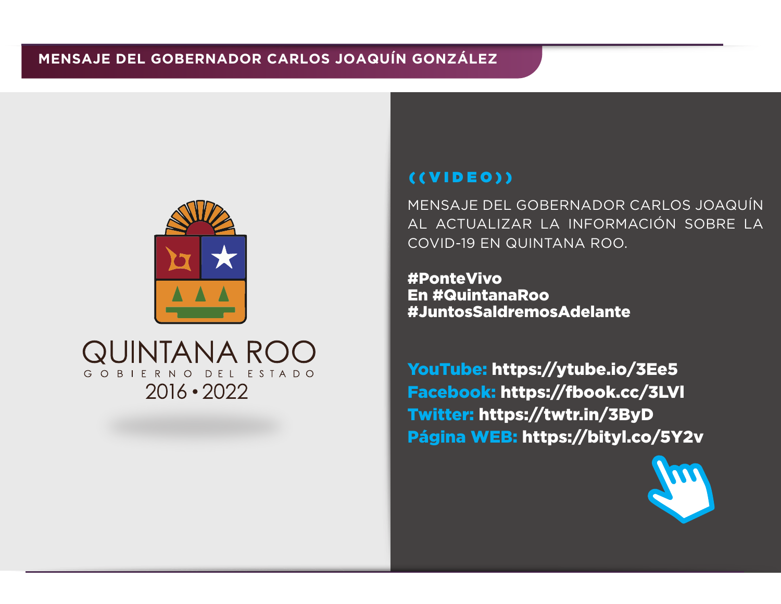

# QUINTANA ROC GOBIERNO DEL ESTADO  $2016 \cdot 2022$

## ((VIDEO))

MENSAJE DEL GOBERNADOR CARLOS JOAQUÍN AL ACTUALIZAR LA INFORMACIÓN SOBRE LA COVID-19 EN QUINTANA ROO.

#PonteVivo En #QuintanaRoo #JuntosSaldremosAdelante

YouTube: https://ytube.io/3Ee5 Facebook: https://fbook.cc/3LVl Twitter: https://twtr.in/3ByD Página WEB: https://bityl.co/5Y2v